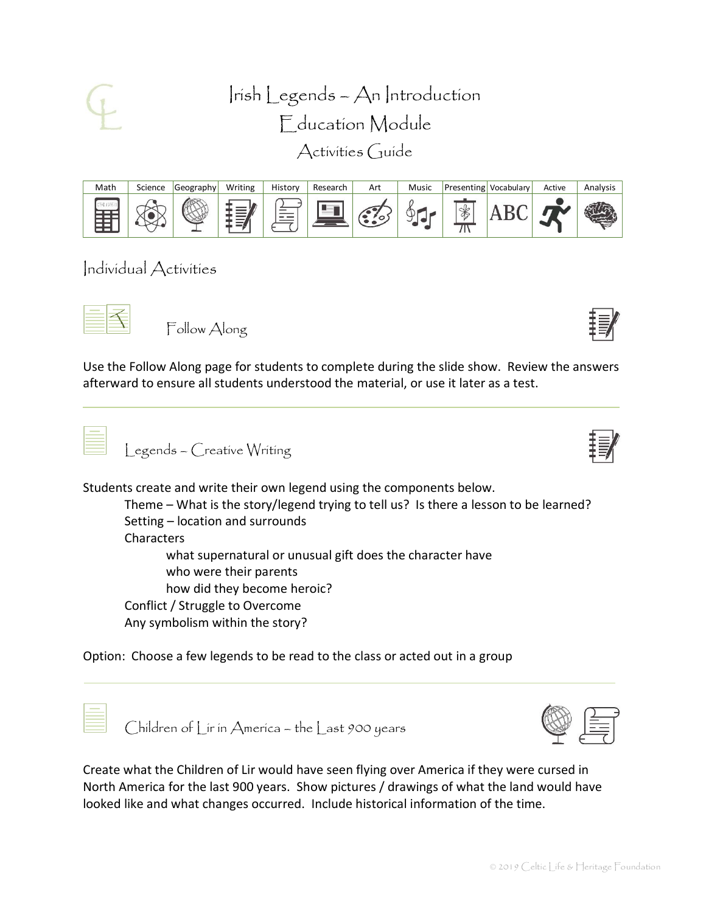

Irish Legends – An Introduction Education Module Activities Guide



Individual Activities

Follow Along

Use the Follow Along page for students to complete during the slide show. Review the answers afterward to ensure all students understood the material, or use it later as a test.

Legends – Creative Writing

Students create and write their own legend using the components below.

Theme – What is the story/legend trying to tell us? Is there a lesson to be learned? Setting – location and surrounds Characters what supernatural or unusual gift does the character have who were their parents how did they become heroic? Conflict / Struggle to Overcome Any symbolism within the story?

Option: Choose a few legends to be read to the class or acted out in a group



Children of Lir in America – the Last 900 years



Create what the Children of Lir would have seen flying over America if they were cursed in North America for the last 900 years. Show pictures / drawings of what the land would have looked like and what changes occurred. Include historical information of the time.

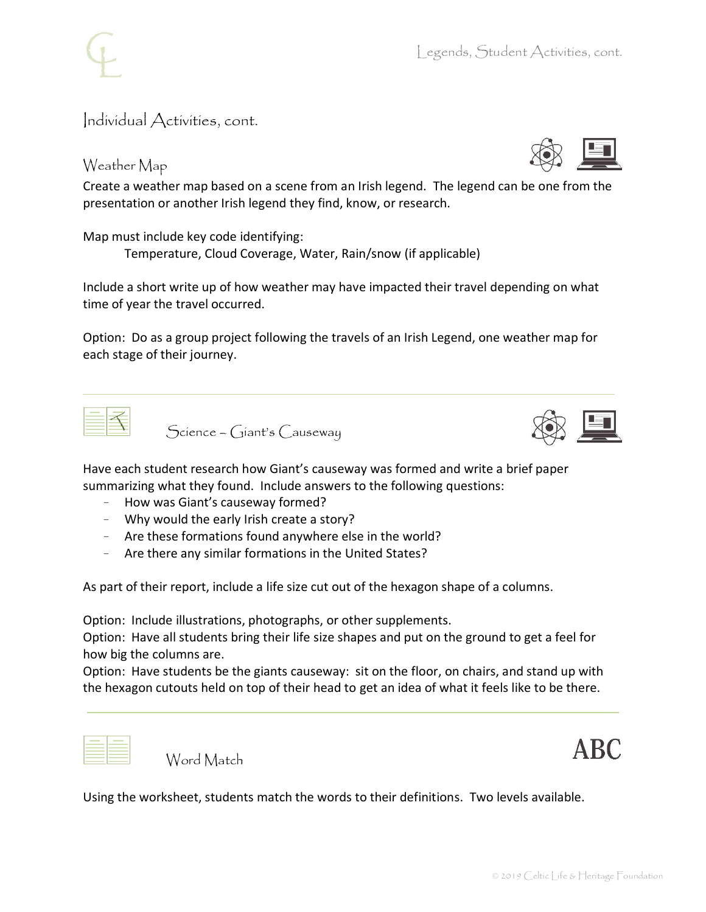Individual Activities, cont.

## Weather Map

Create a weather map based on a scene from an Irish legend. The legend can be one from the presentation or another Irish legend they find, know, or research.

Map must include key code identifying:

Temperature, Cloud Coverage, Water, Rain/snow (if applicable)

Include a short write up of how weather may have impacted their travel depending on what time of year the travel occurred.

Option: Do as a group project following the travels of an Irish Legend, one weather map for each stage of their journey.

Science – Giant's Causeway



Have each student research how Giant's causeway was formed and write a brief paper summarizing what they found. Include answers to the following questions:

- How was Giant's causeway formed?
- Why would the early Irish create a story?
- Are these formations found anywhere else in the world?
- Are there any similar formations in the United States?

As part of their report, include a life size cut out of the hexagon shape of a columns.

Option: Include illustrations, photographs, or other supplements.

Option: Have all students bring their life size shapes and put on the ground to get a feel for how big the columns are.

Option: Have students be the giants causeway: sit on the floor, on chairs, and stand up with the hexagon cutouts held on top of their head to get an idea of what it feels like to be there.

Word Match



Using the worksheet, students match the words to their definitions. Two levels available.

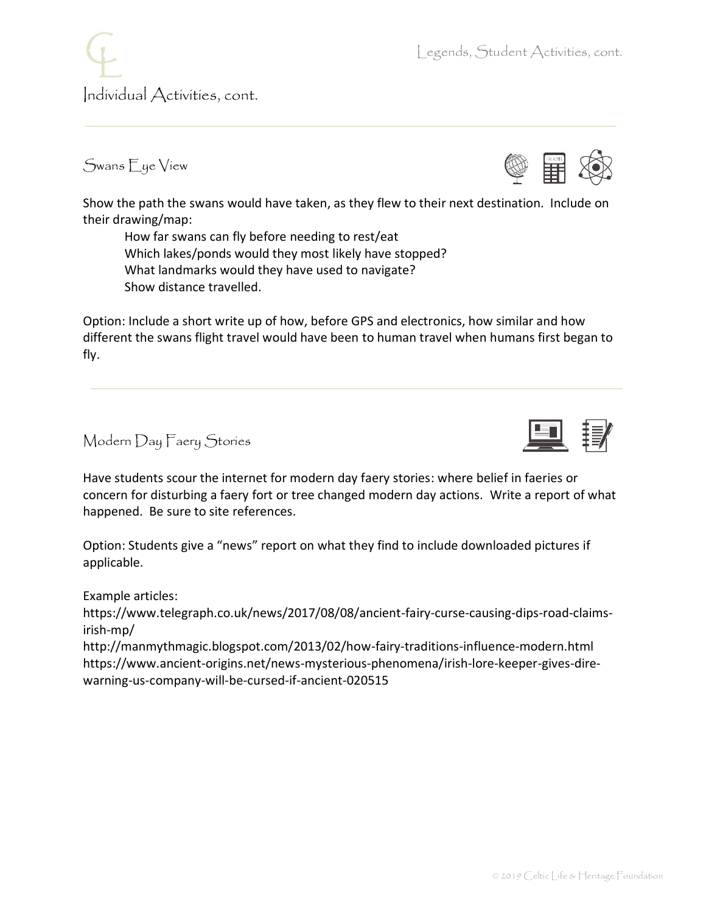Individual Activities, cont.

## Swans Eye View

Show the path the swans would have taken, as they flew to their next destination. Include on their drawing/map:

How far swans can fly before needing to rest/eat Which lakes/ponds would they most likely have stopped? What landmarks would they have used to navigate? Show distance travelled.

Option: Include a short write up of how, before GPS and electronics, how similar and how different the swans flight travel would have been to human travel when humans first began to fly.

Modern Day Faery Stories

Have students scour the internet for modern day faery stories: where belief in faeries or concern for disturbing a faery fort or tree changed modern day actions. Write a report of what happened. Be sure to site references.

Option: Students give a "news" report on what they find to include downloaded pictures if applicable.

Example articles:

https://www.telegraph.co.uk/news/2017/08/08/ancient-fairy-curse-causing-dips-road-claimsirish-mp/

http://manmythmagic.blogspot.com/2013/02/how-fairy-traditions-influence-modern.html https://www.ancient-origins.net/news-mysterious-phenomena/irish-lore-keeper-gives-direwarning-us-company-will-be-cursed-if-ancient-020515





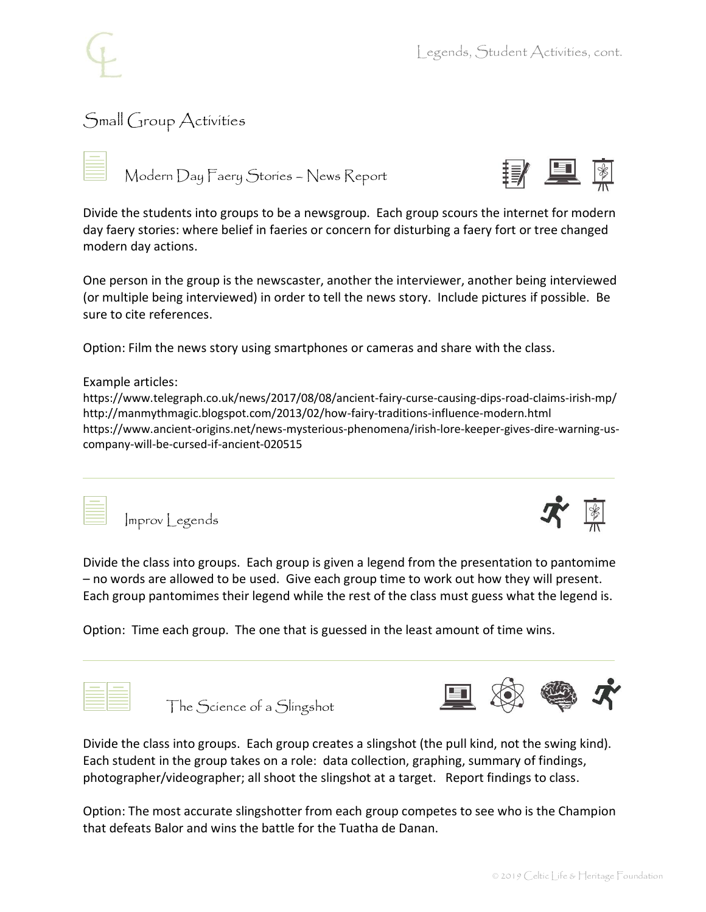

「!」 早

 $\begin{tabular}{|c|c|c|c|} \hline \textbf{$\ast$} & \textbf{$\ast$} \\ \hline \textbf{$\ast$} & \textbf{$\ast$} \\ \hline \textbf{$\ast$} & \textbf{$\ast$} \\ \hline \textbf{$\ast$} & \textbf{$\ast$} \\ \hline \textbf{$\ast$} & \textbf{$\ast$} \\ \hline \textbf{$\ast$} & \textbf{$\ast$} \\ \hline \textbf{$\ast$} & \textbf{$\ast$} \\ \hline \textbf{$\ast$} & \textbf{$\ast$} \\ \hline \textbf{$\ast$} & \textbf{$\ast$} \\ \hline \textbf{$\ast$} & \textbf$ 

## Small Group Activities





One person in the group is the newscaster, another the interviewer, another being interviewed (or multiple being interviewed) in order to tell the news story. Include pictures if possible. Be sure to cite references.

Option: Film the news story using smartphones or cameras and share with the class.

#### Example articles:

https://www.telegraph.co.uk/news/2017/08/08/ancient-fairy-curse-causing-dips-road-claims-irish-mp/ http://manmythmagic.blogspot.com/2013/02/how-fairy-traditions-influence-modern.html https://www.ancient-origins.net/news-mysterious-phenomena/irish-lore-keeper-gives-dire-warning-uscompany-will-be-cursed-if-ancient-020515



Improv Legends



Divide the class into groups. Each group is given a legend from the presentation to pantomime – no words are allowed to be used. Give each group time to work out how they will present. Each group pantomimes their legend while the rest of the class must guess what the legend is.

Option: Time each group. The one that is guessed in the least amount of time wins.



The Science of a Slingshot



Divide the class into groups. Each group creates a slingshot (the pull kind, not the swing kind). Each student in the group takes on a role: data collection, graphing, summary of findings, photographer/videographer; all shoot the slingshot at a target. Report findings to class.

Option: The most accurate slingshotter from each group competes to see who is the Champion that defeats Balor and wins the battle for the Tuatha de Danan.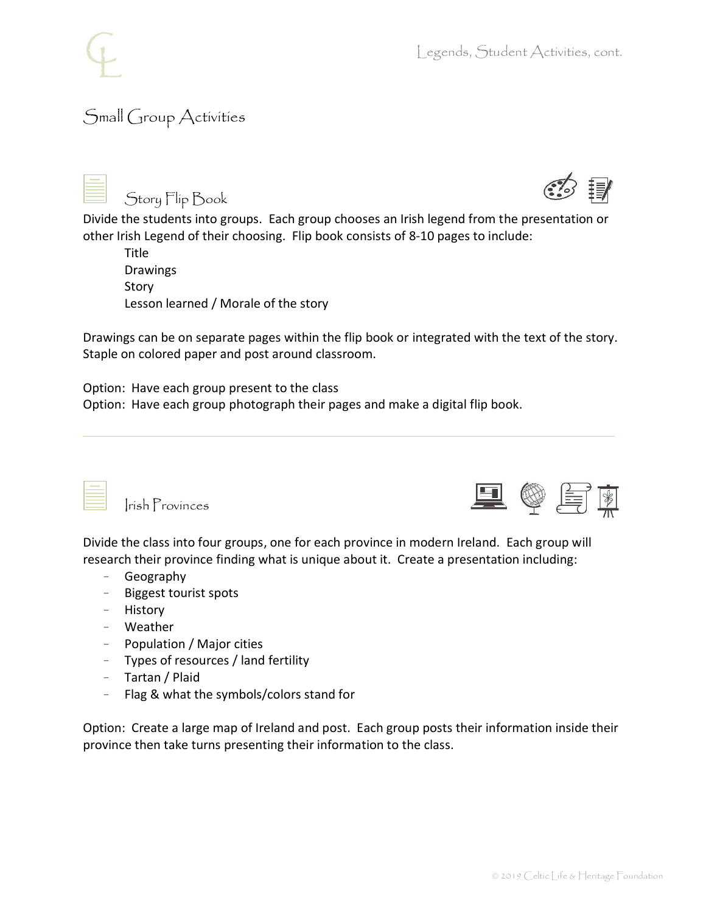# Small Group Activities

Story Flip Book

Divide the students into groups. Each group chooses an Irish legend from the presentation or other Irish Legend of their choosing. Flip book consists of 8-10 pages to include:

| Title                                |
|--------------------------------------|
| <b>Drawings</b>                      |
| Story                                |
| Lesson learned / Morale of the story |

Drawings can be on separate pages within the flip book or integrated with the text of the story. Staple on colored paper and post around classroom.

Option: Have each group present to the class

Option: Have each group photograph their pages and make a digital flip book.



Irish Provinces



Divide the class into four groups, one for each province in modern Ireland. Each group will research their province finding what is unique about it. Create a presentation including:

- Geography
- Biggest tourist spots
- History
- Weather
- Population / Major cities
- Types of resources / land fertility
- Tartan / Plaid
- Flag & what the symbols/colors stand for

Option: Create a large map of Ireland and post. Each group posts their information inside their province then take turns presenting their information to the class.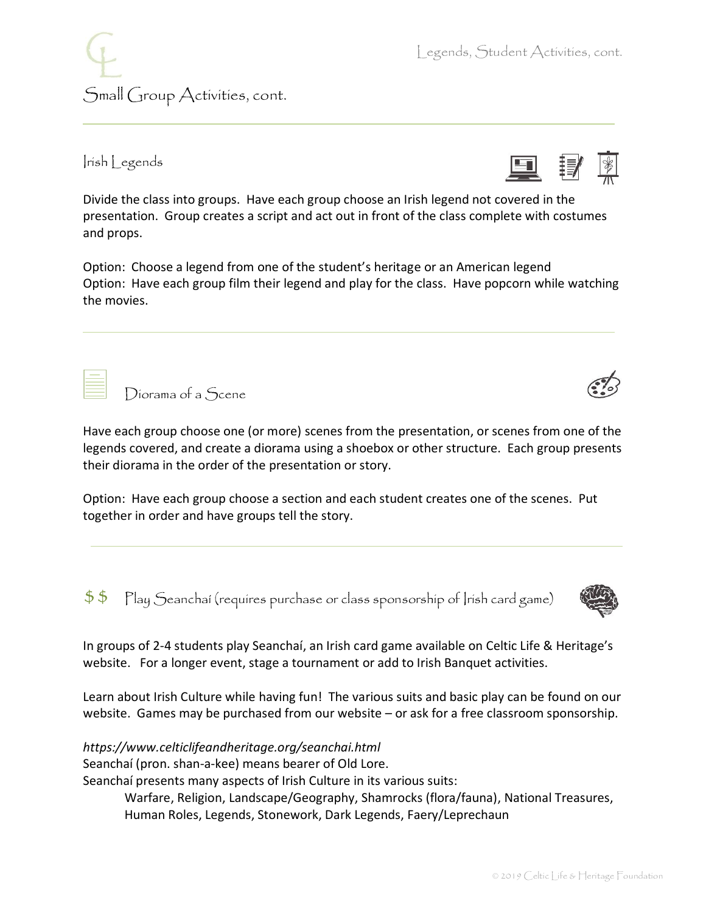Irish Legends

Small Group Activities, cont.

Diorama of a Scene

Divide the class into groups. Have each group choose an Irish legend not covered in the presentation. Group creates a script and act out in front of the class complete with costumes and props.

Option: Choose a legend from one of the student's heritage or an American legend Option: Have each group film their legend and play for the class. Have popcorn while watching the movies.

Have each group choose one (or more) scenes from the presentation, or scenes from one of the legends covered, and create a diorama using a shoebox or other structure. Each group presents their diorama in the order of the presentation or story.

Option: Have each group choose a section and each student creates one of the scenes. Put together in order and have groups tell the story.

 $$5$  Play Seanchaí (requires purchase or class sponsorship of Irish card game)

In groups of 2-4 students play Seanchaí, an Irish card game available on Celtic Life & Heritage's website. For a longer event, stage a tournament or add to Irish Banquet activities.

Learn about Irish Culture while having fun! The various suits and basic play can be found on our website. Games may be purchased from our website – or ask for a free classroom sponsorship.

*https://www.celticlifeandheritage.org/seanchai.html*

Seanchaí (pron. shan-a-kee) means bearer of Old Lore.

Seanchaí presents many aspects of Irish Culture in its various suits:

Warfare, Religion, Landscape/Geography, Shamrocks (flora/fauna), National Treasures, Human Roles, Legends, Stonework, Dark Legends, Faery/Leprechaun





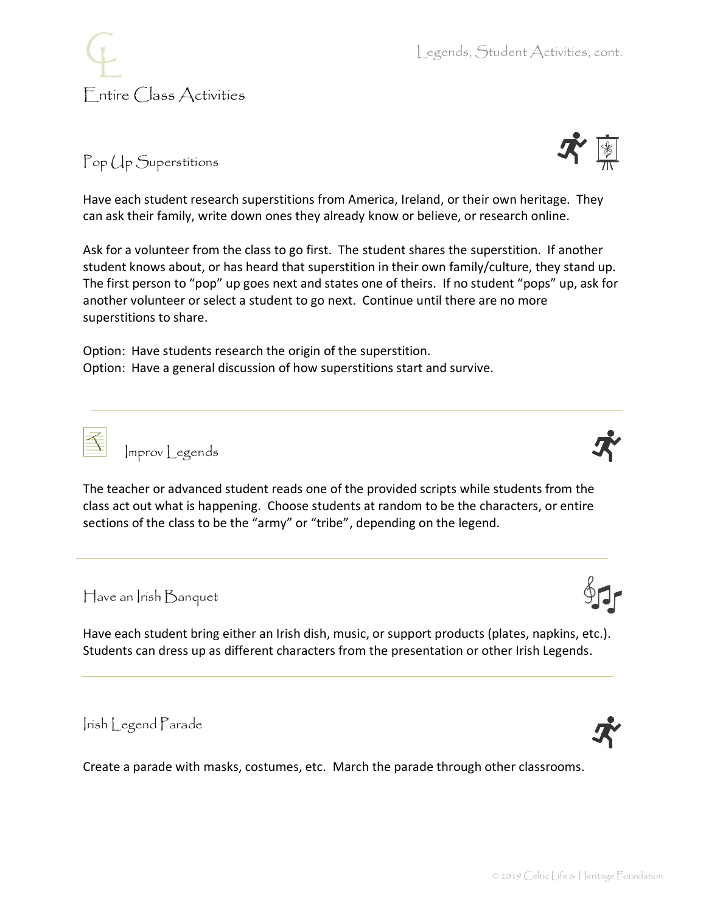

Pop Up Superstitions

Have each student research superstitions from America, Ireland, or their own heritage. They can ask their family, write down ones they already know or believe, or research online.

Ask for a volunteer from the class to go first. The student shares the superstition. If another student knows about, or has heard that superstition in their own family/culture, they stand up. The first person to "pop" up goes next and states one of theirs. If no student "pops" up, ask for another volunteer or select a student to go next. Continue until there are no more superstitions to share.

Option: Have students research the origin of the superstition. Option: Have a general discussion of how superstitions start and survive.

class act out what is happening. Choose students at random to be the characters, or entire sections of the class to be the "army" or "tribe", depending on the legend.

Improv Legends

Have an Irish Banquet

Have each student bring either an Irish dish, music, or support products (plates, napkins, etc.). Students can dress up as different characters from the presentation or other Irish Legends.

The teacher or advanced student reads one of the provided scripts while students from the

Irish Legend Parade

Create a parade with masks, costumes, etc. March the parade through other classrooms.